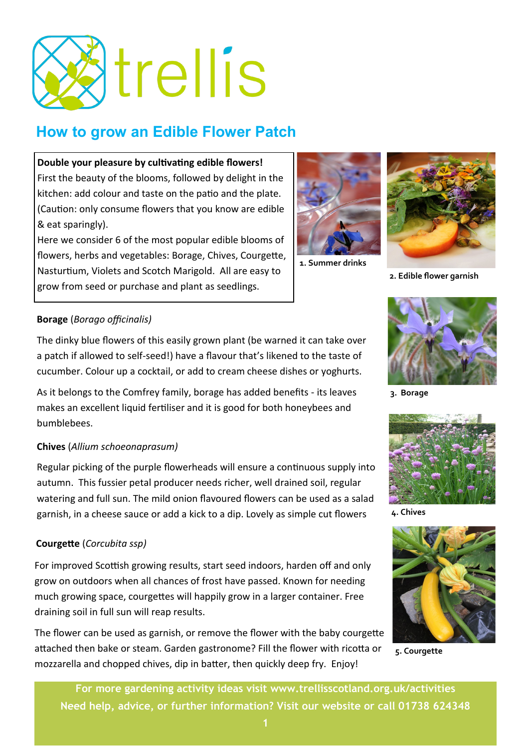

# **How to grow an Edible Flower Patch**

#### **Double your pleasure by cultivating edible flowers!**

First the beauty of the blooms, followed by delight in the kitchen: add colour and taste on the patio and the plate. (Caution: only consume flowers that you know are edible & eat sparingly).

Here we consider 6 of the most popular edible blooms of flowers, herbs and vegetables: Borage, Chives, Courgette, Nasturtium, Violets and Scotch Marigold. All are easy to grow from seed or purchase and plant as seedlings.



**1. Summer drinks** 



**2. Edible flower garnish**

#### **Borage** (*Borago officinalis)*

The dinky blue flowers of this easily grown plant (be warned it can take over a patch if allowed to self-seed!) have a flavour that's likened to the taste of cucumber. Colour up a cocktail, or add to cream cheese dishes or yoghurts.

As it belongs to the Comfrey family, borage has added benefits - its leaves makes an excellent liquid fertiliser and it is good for both honeybees and bumblebees.

#### **Chives** (*Allium schoeonaprasum)*

Regular picking of the purple flowerheads will ensure a continuous supply into autumn. This fussier petal producer needs richer, well drained soil, regular watering and full sun. The mild onion flavoured flowers can be used as a salad garnish, in a cheese sauce or add a kick to a dip. Lovely as simple cut flowers

### **Courgette** (*Corcubita ssp)*

For improved Scottish growing results, start seed indoors, harden off and only grow on outdoors when all chances of frost have passed. Known for needing much growing space, courgettes will happily grow in a larger container. Free draining soil in full sun will reap results.

The flower can be used as garnish, or remove the flower with the baby courgette attached then bake or steam. Garden gastronome? Fill the flower with ricotta or mozzarella and chopped chives, dip in batter, then quickly deep fry. Enjoy!



**3. Borage**



**4. Chives**



**5. Courgette**

**For more gardening activity ideas visit www.trellisscotland.org.uk/activities Need help, advice, or further information? Visit our website or call 01738 624348**